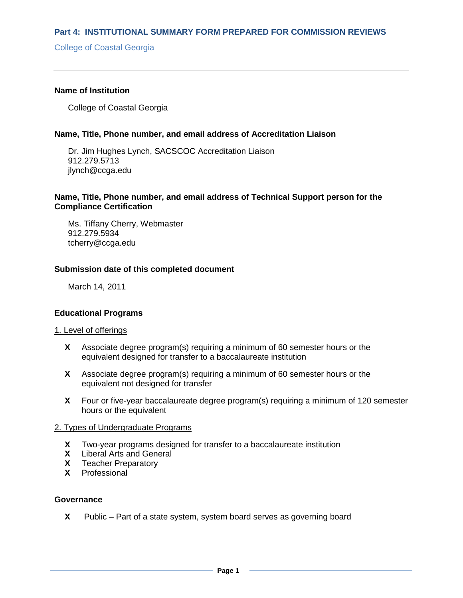College of Coastal Georgia

### **Name of Institution**

College of Coastal Georgia

### **Name, Title, Phone number, and email address of Accreditation Liaison**

Dr. Jim Hughes Lynch, SACSCOC Accreditation Liaison 912.279.5713 jlynch@ccga.edu

# **Name, Title, Phone number, and email address of Technical Support person for the Compliance Certification**

Ms. Tiffany Cherry, Webmaster 912.279.5934 tcherry@ccga.edu

### **Submission date of this completed document**

March 14, 2011

## **Educational Programs**

#### 1. Level of offerings

- **X** Associate degree program(s) requiring a minimum of 60 semester hours or the equivalent designed for transfer to a baccalaureate institution
- **X** Associate degree program(s) requiring a minimum of 60 semester hours or the equivalent not designed for transfer
- **X** Four or five-year baccalaureate degree program(s) requiring a minimum of 120 semester hours or the equivalent

### 2. Types of Undergraduate Programs

- **X** Two-year programs designed for transfer to a baccalaureate institution
- **X** Liberal Arts and General
- **X** Teacher Preparatory
- **X** Professional

## **Governance**

**X** Public – Part of a state system, system board serves as governing board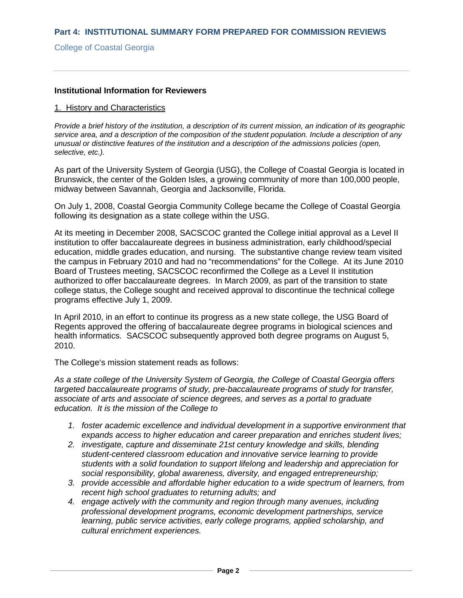# College of Coastal Georgia

### **Institutional Information for Reviewers**

### 1. History and Characteristics

*Provide a brief history of the institution, a description of its current mission, an indication of its geographic service area, and a description of the composition of the student population. Include a description of any unusual or distinctive features of the institution and a description of the admissions policies (open, selective, etc.).* 

As part of the University System of Georgia (USG), the College of Coastal Georgia is located in Brunswick, the center of the Golden Isles, a growing community of more than 100,000 people, midway between Savannah, Georgia and Jacksonville, Florida.

On July 1, 2008, Coastal Georgia Community College became the College of Coastal Georgia following its designation as a state college within the USG.

At its meeting in December 2008, SACSCOC granted the College initial approval as a Level II institution to offer baccalaureate degrees in business administration, early childhood/special education, middle grades education, and nursing. The substantive change review team visited the campus in February 2010 and had no "recommendations" for the College. At its June 2010 Board of Trustees meeting, SACSCOC reconfirmed the College as a Level II institution authorized to offer baccalaureate degrees. In March 2009, as part of the transition to state college status, the College sought and received approval to discontinue the technical college programs effective July 1, 2009.

In April 2010, in an effort to continue its progress as a new state college, the USG Board of Regents approved the offering of baccalaureate degree programs in biological sciences and health informatics. SACSCOC subsequently approved both degree programs on August 5, 2010.

The College's mission statement reads as follows:

*As a state college of the University System of Georgia, the College of Coastal Georgia offers targeted baccalaureate programs of study, pre-baccalaureate programs of study for transfer, associate of arts and associate of science degrees, and serves as a portal to graduate education. It is the mission of the College to*

- *1. foster academic excellence and individual development in a supportive environment that expands access to higher education and career preparation and enriches student lives;*
- *2. investigate, capture and disseminate 21st century knowledge and skills, blending student-centered classroom education and innovative service learning to provide students with a solid foundation to support lifelong and leadership and appreciation for social responsibility, global awareness, diversity, and engaged entrepreneurship;*
- *3. provide accessible and affordable higher education to a wide spectrum of learners, from recent high school graduates to returning adults; and*
- *4. engage actively with the community and region through many avenues, including professional development programs, economic development partnerships, service learning, public service activities, early college programs, applied scholarship, and cultural enrichment experiences.*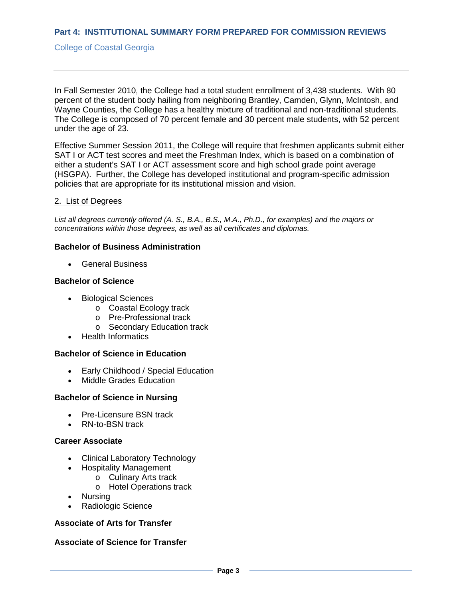## College of Coastal Georgia

In Fall Semester 2010, the College had a total student enrollment of 3,438 students. With 80 percent of the student body hailing from neighboring Brantley, Camden, Glynn, McIntosh, and Wayne Counties, the College has a healthy mixture of traditional and non-traditional students. The College is composed of 70 percent female and 30 percent male students, with 52 percent under the age of 23.

Effective Summer Session 2011, the College will require that freshmen applicants submit either SAT I or ACT test scores and meet the Freshman Index, which is based on a combination of either a student's SAT I or ACT assessment score and high school grade point average (HSGPA). Further, the College has developed institutional and program-specific admission policies that are appropriate for its institutional mission and vision.

## 2. List of Degrees

*List all degrees currently offered (A. S., B.A., B.S., M.A., Ph.D., for examples) and the majors or concentrations within those degrees, as well as all certificates and diplomas.*

# **Bachelor of Business Administration**

• General Business

### **Bachelor of Science**

- Biological Sciences
	- o Coastal Ecology track
	- o Pre-Professional track
	- o Secondary Education track
- Health Informatics

## **Bachelor of Science in Education**

- Early Childhood / Special Education
- Middle Grades Education

## **Bachelor of Science in Nursing**

- Pre-Licensure BSN track
- RN-to-BSN track

## **Career Associate**

- Clinical Laboratory Technology
- Hospitality Management
	- o Culinary Arts track
	- o Hotel Operations track
- Nursing
- Radiologic Science

# **Associate of Arts for Transfer**

# **Associate of Science for Transfer**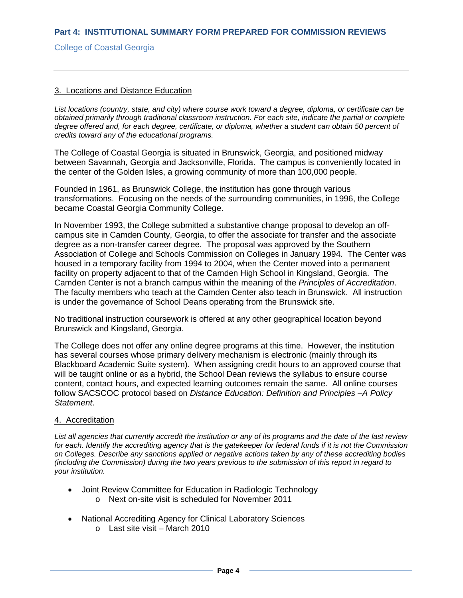### College of Coastal Georgia

## 3. Locations and Distance Education

*List locations (country, state, and city) where course work toward a degree, diploma, or certificate can be obtained primarily through traditional classroom instruction. For each site, indicate the partial or complete degree offered and, for each degree, certificate, or diploma, whether a student can obtain 50 percent of credits toward any of the educational programs.*

The College of Coastal Georgia is situated in Brunswick, Georgia, and positioned midway between Savannah, Georgia and Jacksonville, Florida. The campus is conveniently located in the center of the Golden Isles, a growing community of more than 100,000 people.

Founded in 1961, as Brunswick College, the institution has gone through various transformations. Focusing on the needs of the surrounding communities, in 1996, the College became Coastal Georgia Community College.

In November 1993, the College submitted a substantive change proposal to develop an offcampus site in Camden County, Georgia, to offer the associate for transfer and the associate degree as a non-transfer career degree. The proposal was approved by the Southern Association of College and Schools Commission on Colleges in January 1994. The Center was housed in a temporary facility from 1994 to 2004, when the Center moved into a permanent facility on property adjacent to that of the Camden High School in Kingsland, Georgia. The Camden Center is not a branch campus within the meaning of the *Principles of Accreditation*. The faculty members who teach at the Camden Center also teach in Brunswick. All instruction is under the governance of School Deans operating from the Brunswick site.

No traditional instruction coursework is offered at any other geographical location beyond Brunswick and Kingsland, Georgia.

The College does not offer any online degree programs at this time. However, the institution has several courses whose primary delivery mechanism is electronic (mainly through its Blackboard Academic Suite system). When assigning credit hours to an approved course that will be taught online or as a hybrid, the School Dean reviews the syllabus to ensure course content, contact hours, and expected learning outcomes remain the same. All online courses follow SACSCOC protocol based on *Distance Education: Definition and Principles –A Policy Statement*.

#### 4. Accreditation

*List all agencies that currently accredit the institution or any of its programs and the date of the last review for each. Identify the accrediting agency that is the gatekeeper for federal funds if it is not the Commission on Colleges. Describe any sanctions applied or negative actions taken by any of these accrediting bodies (including the Commission) during the two years previous to the submission of this report in regard to your institution.*

- Joint Review Committee for Education in Radiologic Technology
	- o Next on-site visit is scheduled for November 2011
- National Accrediting Agency for Clinical Laboratory Sciences
	- o Last site visit March 2010